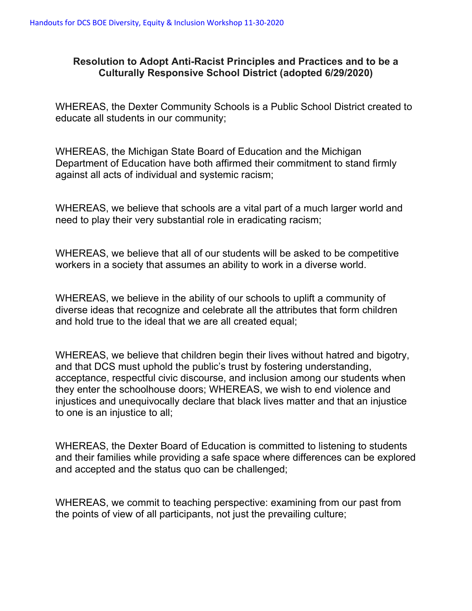## **Resolution to Adopt Anti-Racist Principles and Practices and to be a Culturally Responsive School District (adopted 6/29/2020)**

WHEREAS, the Dexter Community Schools is a Public School District created to educate all students in our community;

WHEREAS, the Michigan State Board of Education and the Michigan Department of Education have both affirmed their commitment to stand firmly against all acts of individual and systemic racism;

WHEREAS, we believe that schools are a vital part of a much larger world and need to play their very substantial role in eradicating racism;

WHEREAS, we believe that all of our students will be asked to be competitive workers in a society that assumes an ability to work in a diverse world.

WHEREAS, we believe in the ability of our schools to uplift a community of diverse ideas that recognize and celebrate all the attributes that form children and hold true to the ideal that we are all created equal;

WHEREAS, we believe that children begin their lives without hatred and bigotry, and that DCS must uphold the public's trust by fostering understanding, acceptance, respectful civic discourse, and inclusion among our students when they enter the schoolhouse doors; WHEREAS, we wish to end violence and injustices and unequivocally declare that black lives matter and that an injustice to one is an injustice to all;

WHEREAS, the Dexter Board of Education is committed to listening to students and their families while providing a safe space where differences can be explored and accepted and the status quo can be challenged;

WHEREAS, we commit to teaching perspective: examining from our past from the points of view of all participants, not just the prevailing culture;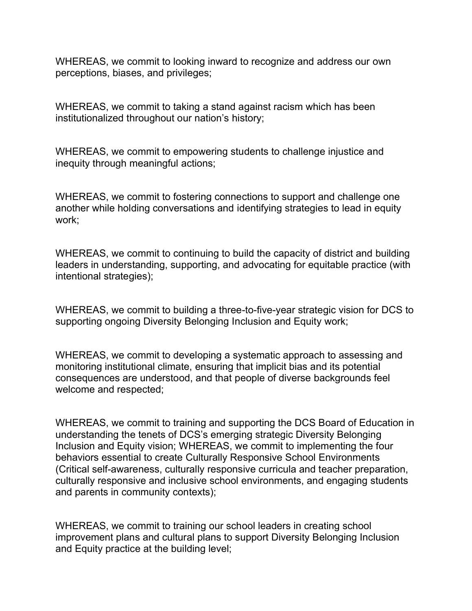WHEREAS, we commit to looking inward to recognize and address our own perceptions, biases, and privileges;

WHEREAS, we commit to taking a stand against racism which has been institutionalized throughout our nation's history;

WHEREAS, we commit to empowering students to challenge injustice and inequity through meaningful actions;

WHEREAS, we commit to fostering connections to support and challenge one another while holding conversations and identifying strategies to lead in equity work;

WHEREAS, we commit to continuing to build the capacity of district and building leaders in understanding, supporting, and advocating for equitable practice (with intentional strategies);

WHEREAS, we commit to building a three-to-five-year strategic vision for DCS to supporting ongoing Diversity Belonging Inclusion and Equity work;

WHEREAS, we commit to developing a systematic approach to assessing and monitoring institutional climate, ensuring that implicit bias and its potential consequences are understood, and that people of diverse backgrounds feel welcome and respected;

WHEREAS, we commit to training and supporting the DCS Board of Education in understanding the tenets of DCS's emerging strategic Diversity Belonging Inclusion and Equity vision; WHEREAS, we commit to implementing the four behaviors essential to create Culturally Responsive School Environments (Critical self-awareness, culturally responsive curricula and teacher preparation, culturally responsive and inclusive school environments, and engaging students and parents in community contexts);

WHEREAS, we commit to training our school leaders in creating school improvement plans and cultural plans to support Diversity Belonging Inclusion and Equity practice at the building level;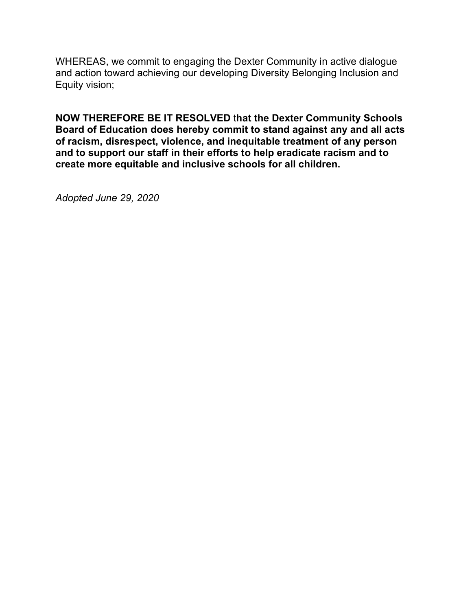WHEREAS, we commit to engaging the Dexter Community in active dialogue and action toward achieving our developing Diversity Belonging Inclusion and Equity vision;

**NOW THEREFORE BE IT RESOLVED** t**hat the Dexter Community Schools Board of Education does hereby commit to stand against any and all acts of racism, disrespect, violence, and inequitable treatment of any person and to support our staff in their efforts to help eradicate racism and to create more equitable and inclusive schools for all children.**

*Adopted June 29, 2020*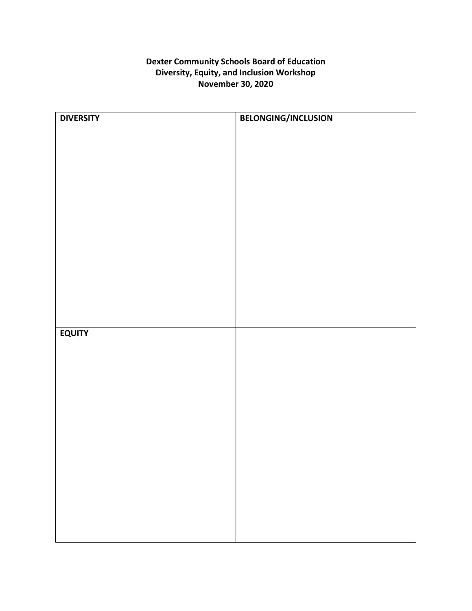## **Dexter Community Schools Board of Education Diversity, Equity, and Inclusion Workshop November 30, 2020**

| <b>DIVERSITY</b> | BELONGING/INCLUSION |
|------------------|---------------------|
|                  |                     |
|                  |                     |
|                  |                     |
|                  |                     |
|                  |                     |
|                  |                     |
|                  |                     |
|                  |                     |
|                  |                     |
|                  |                     |
|                  |                     |
|                  |                     |
|                  |                     |
|                  |                     |
|                  |                     |
|                  |                     |
| <b>EQUITY</b>    |                     |
|                  |                     |
|                  |                     |
|                  |                     |
|                  |                     |
|                  |                     |
|                  |                     |
|                  |                     |
|                  |                     |
|                  |                     |
|                  |                     |
|                  |                     |
|                  |                     |
|                  |                     |
|                  |                     |
|                  |                     |
|                  |                     |
|                  |                     |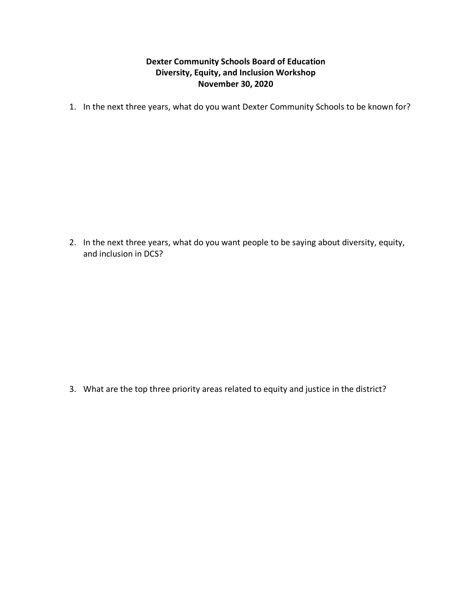## **Dexter Community Schools Board of Education Diversity, Equity, and Inclusion Workshop November 30, 2020**

1. In the next three years, what do you want Dexter Community Schools to be known for?

2. In the next three years, what do you want people to be saying about diversity, equity, and inclusion in DCS?

3. What are the top three priority areas related to equity and justice in the district?